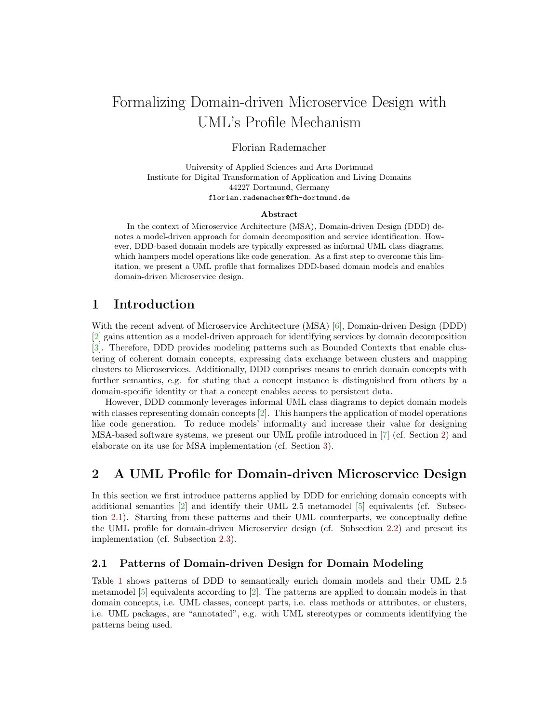# Formalizing Domain-driven Microservice Design with UML's Profile Mechanism

Florian Rademacher

University of Applied Sciences and Arts Dortmund Institute for Digital Transformation of Application and Living Domains 44227 Dortmund, Germany florian.rademacher@fh-dortmund.de

#### Abstract

In the context of Microservice Architecture (MSA), Domain-driven Design (DDD) denotes a model-driven approach for domain decomposition and service identification. However, DDD-based domain models are typically expressed as informal UML class diagrams, which hampers model operations like code generation. As a first step to overcome this limitation, we present a UML profile that formalizes DDD-based domain models and enables domain-driven Microservice design.

## 1 Introduction

With the recent advent of Microservice Architecture (MSA) [\[6\]](#page-4-0), Domain-driven Design (DDD) [\[2\]](#page-4-1) gains attention as a model-driven approach for identifying services by domain decomposition [\[3\]](#page-4-2). Therefore, DDD provides modeling patterns such as Bounded Contexts that enable clustering of coherent domain concepts, expressing data exchange between clusters and mapping clusters to Microservices. Additionally, DDD comprises means to enrich domain concepts with further semantics, e.g. for stating that a concept instance is distinguished from others by a domain-specific identity or that a concept enables access to persistent data.

However, DDD commonly leverages informal UML class diagrams to depict domain models with classes representing domain concepts [\[2\]](#page-4-1). This hampers the application of model operations like code generation. To reduce models' informality and increase their value for designing MSA-based software systems, we present our UML profile introduced in [\[7\]](#page-4-3) (cf. Section [2\)](#page-0-0) and elaborate on its use for MSA implementation (cf. Section [3\)](#page-3-0).

## <span id="page-0-0"></span>2 A UML Profile for Domain-driven Microservice Design

In this section we first introduce patterns applied by DDD for enriching domain concepts with additional semantics [\[2\]](#page-4-1) and identify their UML 2.5 metamodel [\[5\]](#page-4-4) equivalents (cf. Subsection [2.1\)](#page-0-1). Starting from these patterns and their UML counterparts, we conceptually define the UML profile for domain-driven Microservice design (cf. Subsection [2.2\)](#page-1-0) and present its implementation (cf. Subsection [2.3\)](#page-2-0).

#### <span id="page-0-1"></span>2.1 Patterns of Domain-driven Design for Domain Modeling

Table [1](#page-1-1) shows patterns of DDD to semantically enrich domain models and their UML 2.5 metamodel [\[5\]](#page-4-4) equivalents according to [\[2\]](#page-4-1). The patterns are applied to domain models in that domain concepts, i.e. UML classes, concept parts, i.e. class methods or attributes, or clusters, i.e. UML packages, are "annotated", e.g. with UML stereotypes or comments identifying the patterns being used.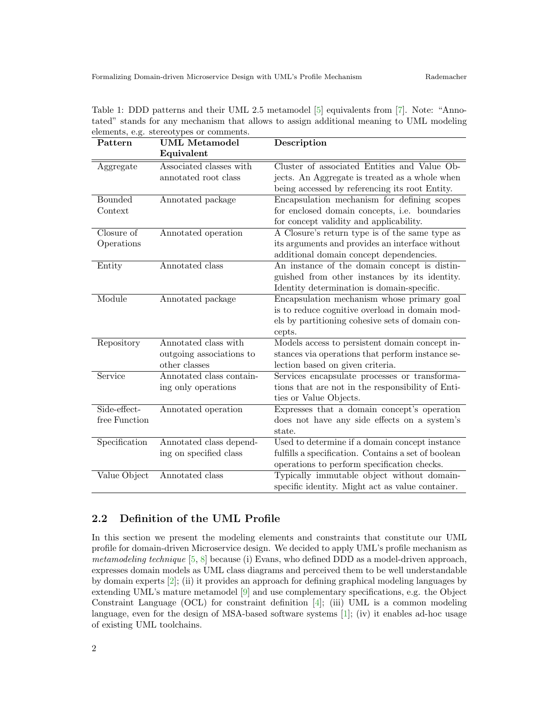| Pattern        | <b>UML</b> Metamodel     | Description                                         |
|----------------|--------------------------|-----------------------------------------------------|
|                | Equivalent               |                                                     |
| Aggregate      | Associated classes with  | Cluster of associated Entities and Value Ob-        |
|                | annotated root class     | jects. An Aggregate is treated as a whole when      |
|                |                          | being accessed by referencing its root Entity.      |
| <b>Bounded</b> | Annotated package        | Encapsulation mechanism for defining scopes         |
| Context        |                          | for enclosed domain concepts, i.e. boundaries       |
|                |                          | for concept validity and applicability.             |
| Closure of     | Annotated operation      | A Closure's return type is of the same type as      |
| Operations     |                          | its arguments and provides an interface without     |
|                |                          | additional domain concept dependencies.             |
| Entity         | Annotated class          | An instance of the domain concept is distin-        |
|                |                          | guished from other instances by its identity.       |
|                |                          | Identity determination is domain-specific.          |
| Module         | Annotated package        | Encapsulation mechanism whose primary goal          |
|                |                          | is to reduce cognitive overload in domain mod-      |
|                |                          | els by partitioning cohesive sets of domain con-    |
|                |                          | cepts.                                              |
| Repository     | Annotated class with     | Models access to persistent domain concept in-      |
|                | outgoing associations to | stances via operations that perform instance se-    |
|                | other classes            | lection based on given criteria.                    |
| Service        | Annotated class contain- | Services encapsulate processes or transforma-       |
|                | ing only operations      | tions that are not in the responsibility of Enti-   |
|                |                          | ties or Value Objects.                              |
| Side-effect-   | Annotated operation      | Expresses that a domain concept's operation         |
| free Function  |                          | does not have any side effects on a system's        |
|                |                          | state.                                              |
| Specification  | Annotated class depend-  | Used to determine if a domain concept instance      |
|                | ing on specified class   | fulfills a specification. Contains a set of boolean |
|                |                          | operations to perform specification checks.         |
| Value Object   | Annotated class          | Typically immutable object without domain-          |
|                |                          | specific identity. Might act as value container.    |

<span id="page-1-1"></span>Table 1: DDD patterns and their UML 2.5 metamodel [\[5\]](#page-4-4) equivalents from [\[7\]](#page-4-3). Note: "Annotated" stands for any mechanism that allows to assign additional meaning to UML modeling elements, e.g. stereotypes or comments.

### <span id="page-1-0"></span>2.2 Definition of the UML Profile

In this section we present the modeling elements and constraints that constitute our UML profile for domain-driven Microservice design. We decided to apply UML's profile mechanism as metamodeling technique [\[5,](#page-4-4) [8\]](#page-4-5) because (i) Evans, who defined DDD as a model-driven approach, expresses domain models as UML class diagrams and perceived them to be well understandable by domain experts [\[2\]](#page-4-1); (ii) it provides an approach for defining graphical modeling languages by extending UML's mature metamodel [\[9\]](#page-4-6) and use complementary specifications, e.g. the Object Constraint Language (OCL) for constraint definition  $[4]$ ; (iii) UML is a common modeling language, even for the design of MSA-based software systems [\[1\]](#page-4-8); (iv) it enables ad-hoc usage of existing UML toolchains.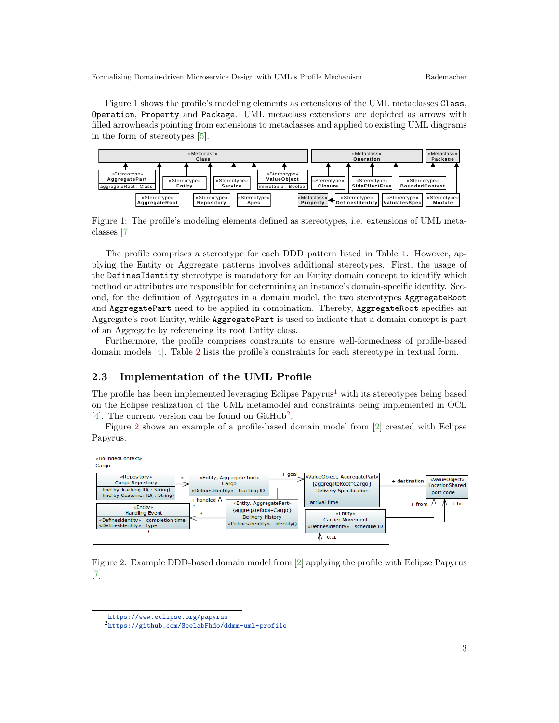Figure [1](#page-2-1) shows the profile's modeling elements as extensions of the UML metaclasses Class, Operation, Property and Package. UML metaclass extensions are depicted as arrows with filled arrowheads pointing from extensions to metaclasses and applied to existing UML diagrams in the form of stereotypes [\[5\]](#page-4-4).



<span id="page-2-1"></span>Figure 1: The profile's modeling elements defined as stereotypes, i.e. extensions of UML metaclasses [\[7\]](#page-4-3)

The profile comprises a stereotype for each DDD pattern listed in Table [1.](#page-1-1) However, applying the Entity or Aggregate patterns involves additional stereotypes. First, the usage of the DefinesIdentity stereotype is mandatory for an Entity domain concept to identify which method or attributes are responsible for determining an instance's domain-specific identity. Second, for the definition of Aggregates in a domain model, the two stereotypes AggregateRoot and AggregatePart need to be applied in combination. Thereby, AggregateRoot specifies an Aggregate's root Entity, while AggregatePart is used to indicate that a domain concept is part of an Aggregate by referencing its root Entity class.

Furthermore, the profile comprises constraints to ensure well-formedness of profile-based domain models [\[4\]](#page-4-7). Table [2](#page-3-1) lists the profile's constraints for each stereotype in textual form.

#### <span id="page-2-0"></span>2.3 Implementation of the UML Profile

The profile has been implemented leveraging Eclipse Papyrus<sup>[1](#page-2-2)</sup> with its stereotypes being based on the Eclipse realization of the UML metamodel and constraints being implemented in OCL [\[4\]](#page-4-7). The current version can be found on  $\text{GitHub}^2$  $\text{GitHub}^2$ .

Figure [2](#page-2-4) shows an example of a profile-based domain model from [\[2\]](#page-4-1) created with Eclipse Papyrus.



<span id="page-2-4"></span>Figure 2: Example DDD-based domain model from [\[2\]](#page-4-1) applying the profile with Eclipse Papyrus [\[7\]](#page-4-3)

<span id="page-2-2"></span><sup>1</sup><https://www.eclipse.org/papyrus>

<span id="page-2-3"></span><sup>2</sup><https://github.com/SeelabFhdo/ddmm-uml-profile>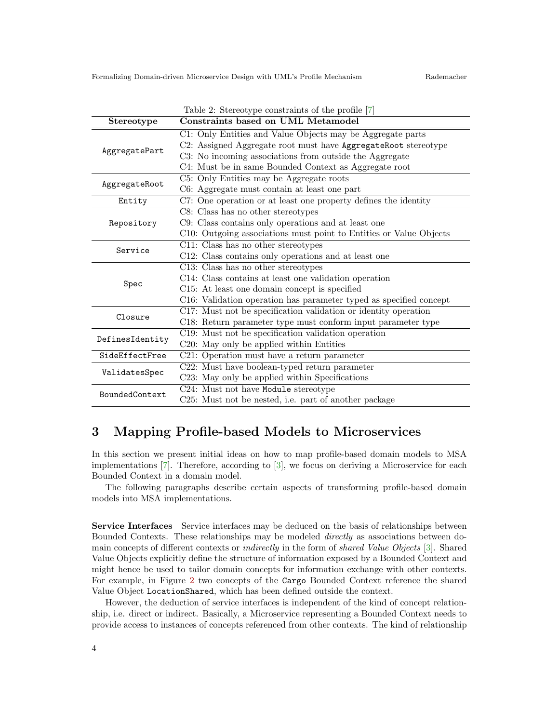<span id="page-3-1"></span>

| Table 2: Stereotype constraints of the profile [7] |                                                                    |  |  |
|----------------------------------------------------|--------------------------------------------------------------------|--|--|
| Stereotype                                         | Constraints based on UML Metamodel                                 |  |  |
| AggregatePart                                      | C1: Only Entities and Value Objects may be Aggregate parts         |  |  |
|                                                    | C2: Assigned Aggregate root must have AggregateRoot stereotype     |  |  |
|                                                    | C3: No incoming associations from outside the Aggregate            |  |  |
|                                                    | C4: Must be in same Bounded Context as Aggregate root              |  |  |
| AggregateRoot                                      | C5: Only Entities may be Aggregate roots                           |  |  |
|                                                    | C6: Aggregate must contain at least one part                       |  |  |
| Entity                                             | C7: One operation or at least one property defines the identity    |  |  |
| Repository                                         | C8: Class has no other stereotypes                                 |  |  |
|                                                    | C9: Class contains only operations and at least one                |  |  |
|                                                    | C10: Outgoing associations must point to Entities or Value Objects |  |  |
| Service                                            | C11: Class has no other stereotypes                                |  |  |
|                                                    | C12: Class contains only operations and at least one               |  |  |
|                                                    | C13: Class has no other stereotypes                                |  |  |
|                                                    | C14: Class contains at least one validation operation              |  |  |
| Spec                                               | C15: At least one domain concept is specified                      |  |  |
|                                                    | C16: Validation operation has parameter typed as specified concept |  |  |
| Closure                                            | C17: Must not be specification validation or identity operation    |  |  |
|                                                    | C18: Return parameter type must conform input parameter type       |  |  |
|                                                    | C19: Must not be specification validation operation                |  |  |
| DefinesIdentity                                    | C20: May only be applied within Entities                           |  |  |
| SideEffectFree                                     | C21: Operation must have a return parameter                        |  |  |
| ValidatesSpec                                      | C22: Must have boolean-typed return parameter                      |  |  |
|                                                    | C23: May only be applied within Specifications                     |  |  |
| BoundedContext                                     | C24: Must not have Module stereotype                               |  |  |
|                                                    | C25: Must not be nested, i.e. part of another package              |  |  |

## <span id="page-3-0"></span>3 Mapping Profile-based Models to Microservices

In this section we present initial ideas on how to map profile-based domain models to MSA implementations [\[7\]](#page-4-3). Therefore, according to [\[3\]](#page-4-2), we focus on deriving a Microservice for each Bounded Context in a domain model.

The following paragraphs describe certain aspects of transforming profile-based domain models into MSA implementations.

Service Interfaces Service interfaces may be deduced on the basis of relationships between Bounded Contexts. These relationships may be modeled directly as associations between domain concepts of different contexts or indirectly in the form of shared Value Objects [\[3\]](#page-4-2). Shared Value Objects explicitly define the structure of information exposed by a Bounded Context and might hence be used to tailor domain concepts for information exchange with other contexts. For example, in Figure [2](#page-2-4) two concepts of the Cargo Bounded Context reference the shared Value Object LocationShared, which has been defined outside the context.

However, the deduction of service interfaces is independent of the kind of concept relationship, i.e. direct or indirect. Basically, a Microservice representing a Bounded Context needs to provide access to instances of concepts referenced from other contexts. The kind of relationship